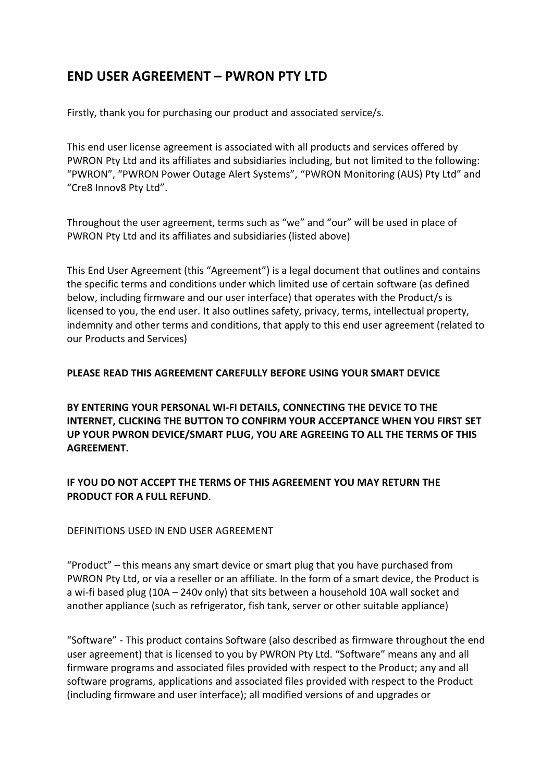# **END USER AGREEMENT – PWRON PTY LTD**

Firstly, thank you for purchasing our product and associated service/s.

This end user license agreement is associated with all products and services offered by PWRON Pty Ltd and its affiliates and subsidiaries including, but not limited to the following: "PWRON", "PWRON Power Outage Alert Systems", "PWRON Monitoring (AUS) Pty Ltd" and "Cre8 Innov8 Pty Ltd".

Throughout the user agreement, terms such as "we" and "our" will be used in place of PWRON Pty Ltd and its affiliates and subsidiaries (listed above)

This End User Agreement (this "Agreement") is a legal document that outlines and contains the specific terms and conditions under which limited use of certain software (as defined below, including firmware and our user interface) that operates with the Product/s is licensed to you, the end user. It also outlines safety, privacy, terms, intellectual property, indemnity and other terms and conditions, that apply to this end user agreement (related to our Products and Services)

## **PLEASE READ THIS AGREEMENT CAREFULLY BEFORE USING YOUR SMART DEVICE**

**BY ENTERING YOUR PERSONAL WI-FI DETAILS, CONNECTING THE DEVICE TO THE INTERNET, CLICKING THE BUTTON TO CONFIRM YOUR ACCEPTANCE WHEN YOU FIRST SET UP YOUR PWRON DEVICE/SMART PLUG, YOU ARE AGREEING TO ALL THE TERMS OF THIS AGREEMENT.** 

## **IF YOU DO NOT ACCEPT THE TERMS OF THIS AGREEMENT YOU MAY RETURN THE PRODUCT FOR A FULL REFUND**.

DEFINITIONS USED IN END USER AGREEMENT

"Product" – this means any smart device or smart plug that you have purchased from PWRON Pty Ltd, or via a reseller or an affiliate. In the form of a smart device, the Product is a wi-fi based plug (10A – 240v only) that sits between a household 10A wall socket and another appliance (such as refrigerator, fish tank, server or other suitable appliance)

"Software" - This product contains Software (also described as firmware throughout the end user agreement) that is licensed to you by PWRON Pty Ltd. "Software" means any and all firmware programs and associated files provided with respect to the Product; any and all software programs, applications and associated files provided with respect to the Product (including firmware and user interface); all modified versions of and upgrades or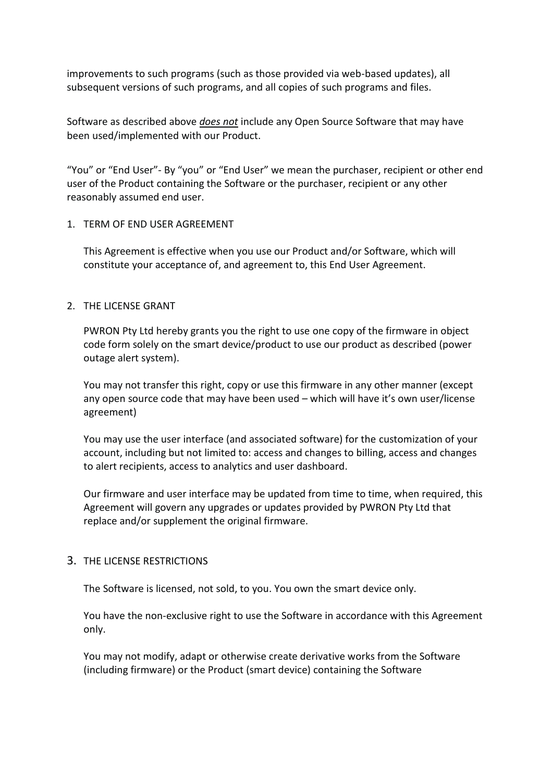improvements to such programs (such as those provided via web-based updates), all subsequent versions of such programs, and all copies of such programs and files.

Software as described above *does not* include any Open Source Software that may have been used/implemented with our Product.

"You" or "End User"- By "you" or "End User" we mean the purchaser, recipient or other end user of the Product containing the Software or the purchaser, recipient or any other reasonably assumed end user.

### 1. TERM OF END USER AGREEMENT

This Agreement is effective when you use our Product and/or Software, which will constitute your acceptance of, and agreement to, this End User Agreement.

## 2. THE LICENSE GRANT

PWRON Pty Ltd hereby grants you the right to use one copy of the firmware in object code form solely on the smart device/product to use our product as described (power outage alert system).

You may not transfer this right, copy or use this firmware in any other manner (except any open source code that may have been used – which will have it's own user/license agreement)

You may use the user interface (and associated software) for the customization of your account, including but not limited to: access and changes to billing, access and changes to alert recipients, access to analytics and user dashboard.

Our firmware and user interface may be updated from time to time, when required, this Agreement will govern any upgrades or updates provided by PWRON Pty Ltd that replace and/or supplement the original firmware.

### 3. THE LICENSE RESTRICTIONS

The Software is licensed, not sold, to you. You own the smart device only.

You have the non-exclusive right to use the Software in accordance with this Agreement only.

You may not modify, adapt or otherwise create derivative works from the Software (including firmware) or the Product (smart device) containing the Software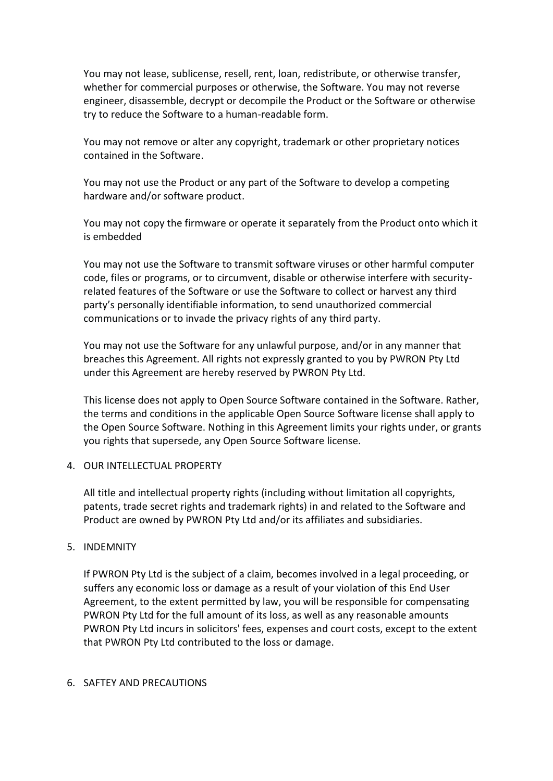You may not lease, sublicense, resell, rent, loan, redistribute, or otherwise transfer, whether for commercial purposes or otherwise, the Software. You may not reverse engineer, disassemble, decrypt or decompile the Product or the Software or otherwise try to reduce the Software to a human-readable form.

You may not remove or alter any copyright, trademark or other proprietary notices contained in the Software.

You may not use the Product or any part of the Software to develop a competing hardware and/or software product.

You may not copy the firmware or operate it separately from the Product onto which it is embedded

You may not use the Software to transmit software viruses or other harmful computer code, files or programs, or to circumvent, disable or otherwise interfere with securityrelated features of the Software or use the Software to collect or harvest any third party's personally identifiable information, to send unauthorized commercial communications or to invade the privacy rights of any third party.

You may not use the Software for any unlawful purpose, and/or in any manner that breaches this Agreement. All rights not expressly granted to you by PWRON Pty Ltd under this Agreement are hereby reserved by PWRON Pty Ltd.

This license does not apply to Open Source Software contained in the Software. Rather, the terms and conditions in the applicable Open Source Software license shall apply to the Open Source Software. Nothing in this Agreement limits your rights under, or grants you rights that supersede, any Open Source Software license.

#### 4. OUR INTELLECTUAL PROPERTY

All title and intellectual property rights (including without limitation all copyrights, patents, trade secret rights and trademark rights) in and related to the Software and Product are owned by PWRON Pty Ltd and/or its affiliates and subsidiaries.

#### 5. INDEMNITY

If PWRON Pty Ltd is the subject of a claim, becomes involved in a legal proceeding, or suffers any economic loss or damage as a result of your violation of this End User Agreement, to the extent permitted by law, you will be responsible for compensating PWRON Pty Ltd for the full amount of its loss, as well as any reasonable amounts PWRON Pty Ltd incurs in solicitors' fees, expenses and court costs, except to the extent that PWRON Pty Ltd contributed to the loss or damage.

#### 6. SAFTEY AND PRECAUTIONS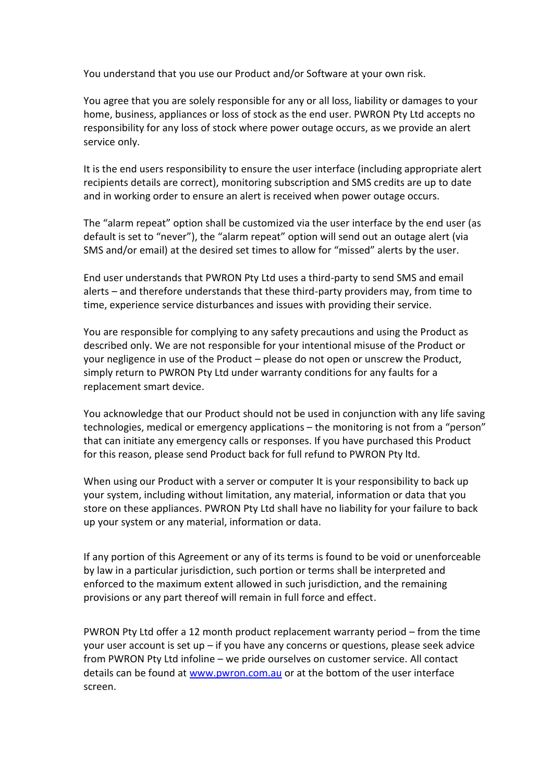You understand that you use our Product and/or Software at your own risk.

You agree that you are solely responsible for any or all loss, liability or damages to your home, business, appliances or loss of stock as the end user. PWRON Pty Ltd accepts no responsibility for any loss of stock where power outage occurs, as we provide an alert service only.

It is the end users responsibility to ensure the user interface (including appropriate alert recipients details are correct), monitoring subscription and SMS credits are up to date and in working order to ensure an alert is received when power outage occurs.

The "alarm repeat" option shall be customized via the user interface by the end user (as default is set to "never"), the "alarm repeat" option will send out an outage alert (via SMS and/or email) at the desired set times to allow for "missed" alerts by the user.

End user understands that PWRON Pty Ltd uses a third-party to send SMS and email alerts – and therefore understands that these third-party providers may, from time to time, experience service disturbances and issues with providing their service.

You are responsible for complying to any safety precautions and using the Product as described only. We are not responsible for your intentional misuse of the Product or your negligence in use of the Product – please do not open or unscrew the Product, simply return to PWRON Pty Ltd under warranty conditions for any faults for a replacement smart device.

You acknowledge that our Product should not be used in conjunction with any life saving technologies, medical or emergency applications – the monitoring is not from a "person" that can initiate any emergency calls or responses. If you have purchased this Product for this reason, please send Product back for full refund to PWRON Pty ltd.

When using our Product with a server or computer It is your responsibility to back up your system, including without limitation, any material, information or data that you store on these appliances. PWRON Pty Ltd shall have no liability for your failure to back up your system or any material, information or data.

If any portion of this Agreement or any of its terms is found to be void or unenforceable by law in a particular jurisdiction, such portion or terms shall be interpreted and enforced to the maximum extent allowed in such jurisdiction, and the remaining provisions or any part thereof will remain in full force and effect.

PWRON Pty Ltd offer a 12 month product replacement warranty period – from the time your user account is set up – if you have any concerns or questions, please seek advice from PWRON Pty Ltd infoline – we pride ourselves on customer service. All contact details can be found at [www.pwron.com.au](http://www.pwron.com.au/) or at the bottom of the user interface screen.